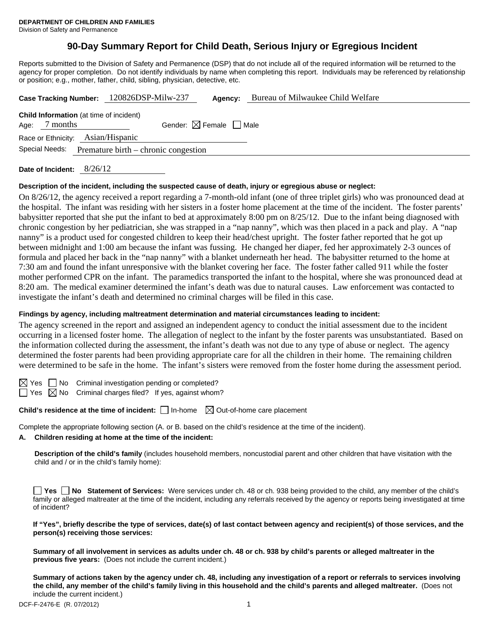# **90-Day Summary Report for Child Death, Serious Injury or Egregious Incident**

Reports submitted to the Division of Safety and Permanence (DSP) that do not include all of the required information will be returned to the agency for proper completion. Do not identify individuals by name when completing this report. Individuals may be referenced by relationship or position; e.g., mother, father, child, sibling, physician, detective, etc.

|                                                        | Case Tracking Number: 120826DSP-Milw-237       |                                        | Agency: | Bureau of Milwaukee Child Welfare |  |
|--------------------------------------------------------|------------------------------------------------|----------------------------------------|---------|-----------------------------------|--|
| 7 months<br>Age:                                       | <b>Child Information</b> (at time of incident) | Gender: $\boxtimes$ Female $\Box$ Male |         |                                   |  |
|                                                        | Race or Ethnicity: Asian/Hispanic              |                                        |         |                                   |  |
| Special Needs:<br>Premature birth – chronic congestion |                                                |                                        |         |                                   |  |
|                                                        |                                                |                                        |         |                                   |  |

**Date of Incident:** 8/26/12

#### **Description of the incident, including the suspected cause of death, injury or egregious abuse or neglect:**

On 8/26/12, the agency received a report regarding a 7-month-old infant (one of three triplet girls) who was pronounced dead at the hospital. The infant was residing with her sisters in a foster home placement at the time of the incident. The foster parents' babysitter reported that she put the infant to bed at approximately 8:00 pm on 8/25/12. Due to the infant being diagnosed with chronic congestion by her pediatrician, she was strapped in a "nap nanny", which was then placed in a pack and play. A "nap nanny" is a product used for congested children to keep their head/chest upright. The foster father reported that he got up between midnight and 1:00 am because the infant was fussing. He changed her diaper, fed her approximately 2-3 ounces of formula and placed her back in the "nap nanny" with a blanket underneath her head. The babysitter returned to the home at 7:30 am and found the infant unresponsive with the blanket covering her face. The foster father called 911 while the foster mother performed CPR on the infant. The paramedics transported the infant to the hospital, where she was pronounced dead at 8:20 am. The medical examiner determined the infant's death was due to natural causes. Law enforcement was contacted to investigate the infant's death and determined no criminal charges will be filed in this case.

## **Findings by agency, including maltreatment determination and material circumstances leading to incident:**

The agency screened in the report and assigned an independent agency to conduct the initial assessment due to the incident occurring in a licensed foster home. The allegation of neglect to the infant by the foster parents was unsubstantiated. Based on the information collected during the assessment, the infant's death was not due to any type of abuse or neglect. The agency determined the foster parents had been providing appropriate care for all the children in their home. The remaining children were determined to be safe in the home. The infant's sisters were removed from the foster home during the assessment period.

 $\boxtimes$  Yes  $\Box$  No Criminal investigation pending or completed?

 $\Box$  Yes  $\boxtimes$  No Criminal charges filed? If yes, against whom?

**Child's residence at the time of incident:**  $\Box$  In-home  $\Box$  Out-of-home care placement

Complete the appropriate following section (A. or B. based on the child's residence at the time of the incident).

## **A. Children residing at home at the time of the incident:**

**Description of the child's family** (includes household members, noncustodial parent and other children that have visitation with the child and / or in the child's family home):

|              |  |  |  |  |  | □ Yes □ No Statement of Services: Were services under ch. 48 or ch. 938 being provided to the child, any member of the child's                 |  |
|--------------|--|--|--|--|--|------------------------------------------------------------------------------------------------------------------------------------------------|--|
|              |  |  |  |  |  | family or alleged maltreater at the time of the incident, including any referrals received by the agency or reports being investigated at time |  |
| of incident? |  |  |  |  |  |                                                                                                                                                |  |

| If "Yes", briefly describe the type of services, date(s) of last contact between agency and recipient(s) of those services, and the |  |
|-------------------------------------------------------------------------------------------------------------------------------------|--|
| person(s) receiving those services:                                                                                                 |  |

**Summary of all involvement in services as adults under ch. 48 or ch. 938 by child's parents or alleged maltreater in the previous five years:** (Does not include the current incident.)

**Summary of actions taken by the agency under ch. 48, including any investigation of a report or referrals to services involving the child, any member of the child's family living in this household and the child's parents and alleged maltreater.** (Does not include the current incident.)